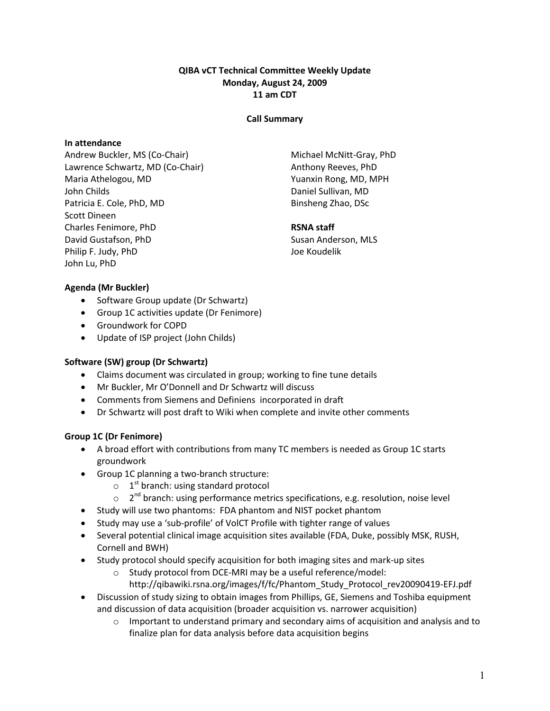# QIBA vCT Technical Committee Weekly Update Monday, August 24, 2009 11 am CDT

### Call Summary

# In attendance

Andrew Buckler, MS (Co-Chair) Lawrence Schwartz, MD (Co-Chair) Maria Athelogou, MD John Childs Patricia E. Cole, PhD, MD Scott Dineen Charles Fenimore, PhD David Gustafson, PhD Philip F. Judy, PhD John Lu, PhD

Michael McNitt-Gray, PhD Anthony Reeves, PhD Yuanxin Rong, MD, MPH Daniel Sullivan, MD Binsheng Zhao, DSc

#### RSNA staff

Susan Anderson, MLS Joe Koudelik

### Agenda (Mr Buckler)

- Software Group update (Dr Schwartz)
- Group 1C activities update (Dr Fenimore)
- Groundwork for COPD
- Update of ISP project (John Childs)

### Software (SW) group (Dr Schwartz)

- Claims document was circulated in group; working to fine tune details
- Mr Buckler, Mr O'Donnell and Dr Schwartz will discuss
- Comments from Siemens and Definiens incorporated in draft
- Dr Schwartz will post draft to Wiki when complete and invite other comments

### Group 1C (Dr Fenimore)

- A broad effort with contributions from many TC members is needed as Group 1C starts groundwork
- Group 1C planning a two-branch structure:
	- $\circ$  1<sup>st</sup> branch: using standard protocol
	- $\circ$  2<sup>nd</sup> branch: using performance metrics specifications, e.g. resolution, noise level
- Study will use two phantoms: FDA phantom and NIST pocket phantom
- Study may use a 'sub-profile' of VolCT Profile with tighter range of values
- Several potential clinical image acquisition sites available (FDA, Duke, possibly MSK, RUSH, Cornell and BWH)
- Study protocol should specify acquisition for both imaging sites and mark-up sites
	- o Study protocol from DCE-MRI may be a useful reference/model:
		- http://qibawiki.rsna.org/images/f/fc/Phantom\_Study\_Protocol\_rev20090419-EFJ.pdf
- Discussion of study sizing to obtain images from Phillips, GE, Siemens and Toshiba equipment and discussion of data acquisition (broader acquisition vs. narrower acquisition)
	- $\circ$  Important to understand primary and secondary aims of acquisition and analysis and to finalize plan for data analysis before data acquisition begins